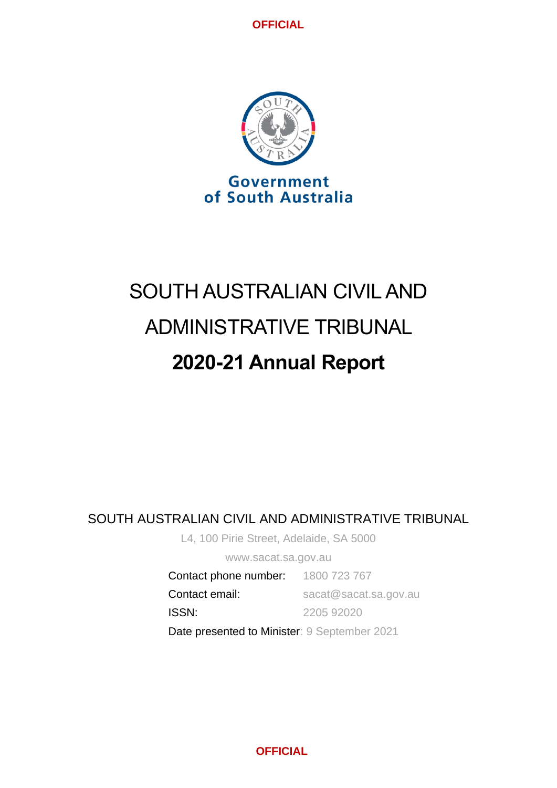

# SOUTH AUSTRALIAN CIVIL AND ADMINISTRATIVE TRIBUNAL **2020-21 Annual Report**

# SOUTH AUSTRALIAN CIVIL AND ADMINISTRATIVE TRIBUNAL

L4, 100 Pirie Street, Adelaide, SA 5000

www.sacat.sa.gov.au

Contact phone number: 1800 723 767 Contact email: sacat@sacat.sa.gov.au ISSN: 2205 92020 Date presented to Minister: 9 September 2021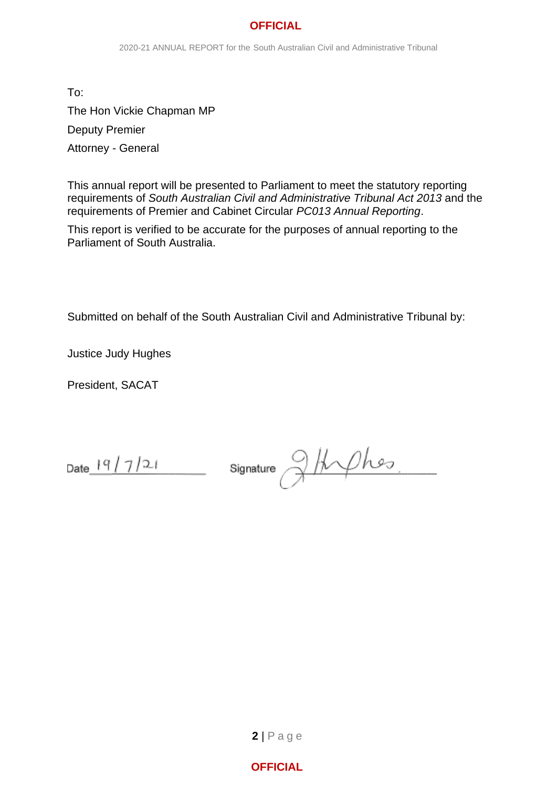To: The Hon Vickie Chapman MP Deputy Premier Attorney - General

This annual report will be presented to Parliament to meet the statutory reporting requirements of *South Australian Civil and Administrative Tribunal Act 2013* and the requirements of Premier and Cabinet Circular *PC013 Annual Reporting*.

This report is verified to be accurate for the purposes of annual reporting to the Parliament of South Australia.

Submitted on behalf of the South Australian Civil and Administrative Tribunal by:

Justice Judy Hughes

President, SACAT

Date  $19/7/21$ 

g/frphes Signature

**2** | P a g e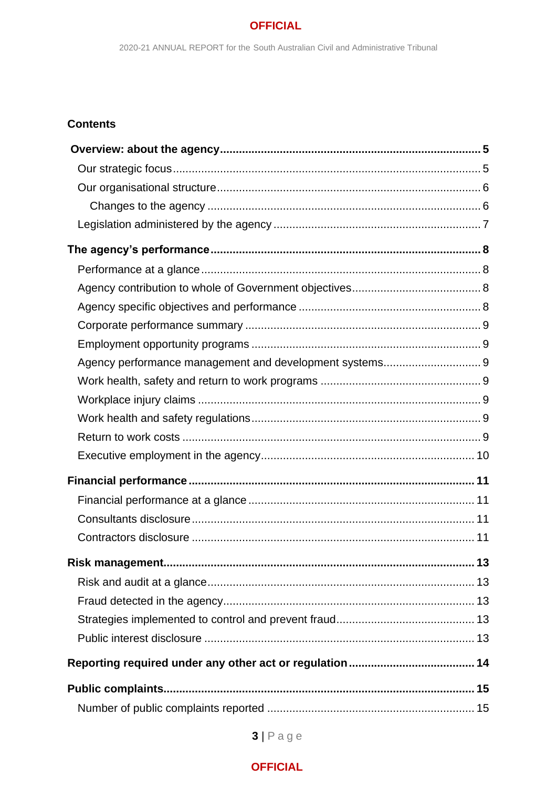# **Contents**

| Agency performance management and development systems 9 |  |
|---------------------------------------------------------|--|
|                                                         |  |
|                                                         |  |
|                                                         |  |
|                                                         |  |
|                                                         |  |
|                                                         |  |
|                                                         |  |
|                                                         |  |
|                                                         |  |
|                                                         |  |
|                                                         |  |
|                                                         |  |
|                                                         |  |
|                                                         |  |
|                                                         |  |
|                                                         |  |
|                                                         |  |

 $3 | P \n a \n g \n e$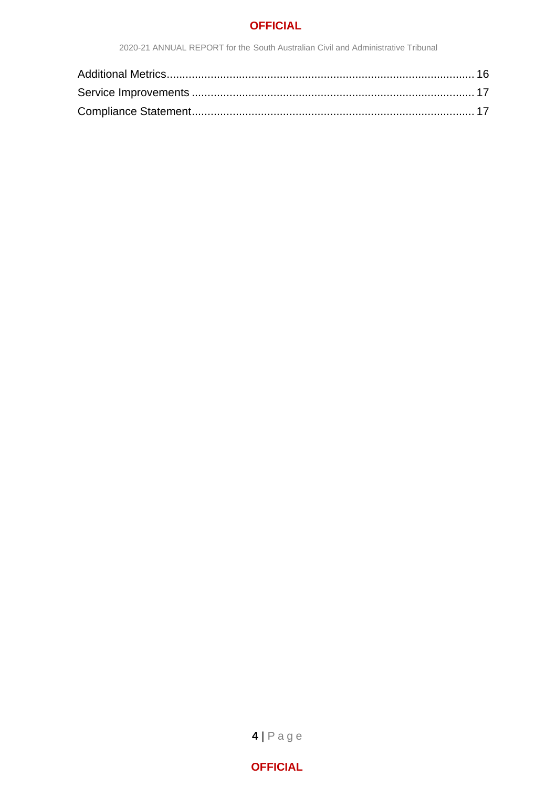2020-21 ANNUAL REPORT for the South Australian Civil and Administrative Tribunal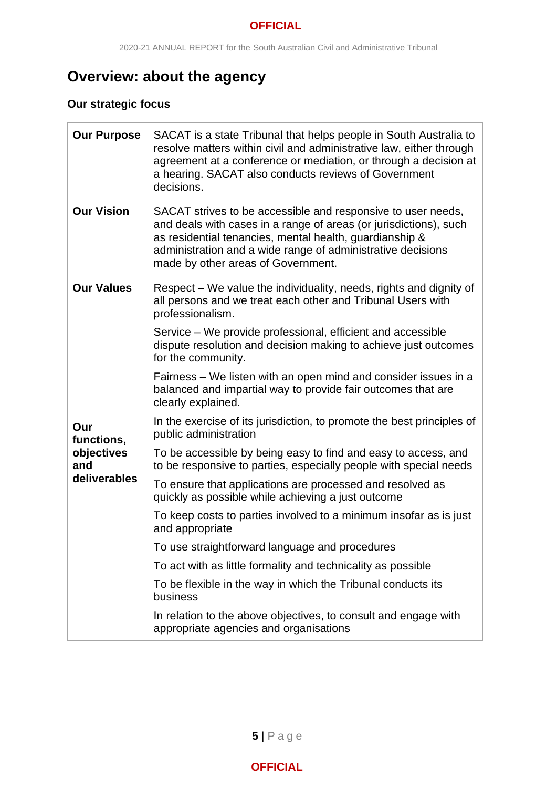# <span id="page-4-0"></span>**Overview: about the agency**

# <span id="page-4-1"></span>**Our strategic focus**

| <b>Our Purpose</b> | SACAT is a state Tribunal that helps people in South Australia to<br>resolve matters within civil and administrative law, either through<br>agreement at a conference or mediation, or through a decision at<br>a hearing. SACAT also conducts reviews of Government<br>decisions.                |
|--------------------|---------------------------------------------------------------------------------------------------------------------------------------------------------------------------------------------------------------------------------------------------------------------------------------------------|
| <b>Our Vision</b>  | SACAT strives to be accessible and responsive to user needs,<br>and deals with cases in a range of areas (or jurisdictions), such<br>as residential tenancies, mental health, guardianship &<br>administration and a wide range of administrative decisions<br>made by other areas of Government. |
| <b>Our Values</b>  | Respect – We value the individuality, needs, rights and dignity of<br>all persons and we treat each other and Tribunal Users with<br>professionalism.                                                                                                                                             |
|                    | Service – We provide professional, efficient and accessible<br>dispute resolution and decision making to achieve just outcomes<br>for the community.                                                                                                                                              |
|                    | Fairness – We listen with an open mind and consider issues in a<br>balanced and impartial way to provide fair outcomes that are<br>clearly explained.                                                                                                                                             |
| Our<br>functions,  | In the exercise of its jurisdiction, to promote the best principles of<br>public administration                                                                                                                                                                                                   |
| objectives<br>and  | To be accessible by being easy to find and easy to access, and<br>to be responsive to parties, especially people with special needs                                                                                                                                                               |
| deliverables       | To ensure that applications are processed and resolved as<br>quickly as possible while achieving a just outcome                                                                                                                                                                                   |
|                    | To keep costs to parties involved to a minimum insofar as is just<br>and appropriate                                                                                                                                                                                                              |
|                    | To use straightforward language and procedures                                                                                                                                                                                                                                                    |
|                    | To act with as little formality and technicality as possible                                                                                                                                                                                                                                      |
|                    | To be flexible in the way in which the Tribunal conducts its<br>business                                                                                                                                                                                                                          |
|                    | In relation to the above objectives, to consult and engage with<br>appropriate agencies and organisations                                                                                                                                                                                         |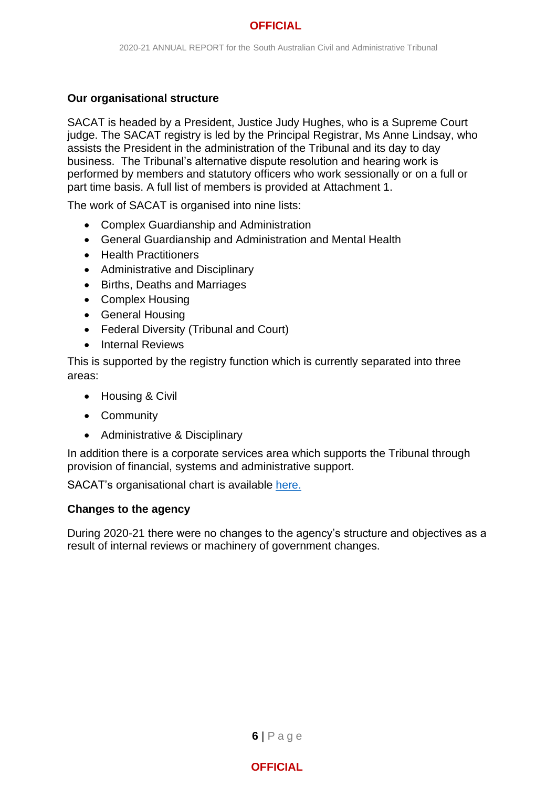## <span id="page-5-0"></span>**Our organisational structure**

SACAT is headed by a President, Justice Judy Hughes, who is a Supreme Court judge. The SACAT registry is led by the Principal Registrar, Ms Anne Lindsay, who assists the President in the administration of the Tribunal and its day to day business. The Tribunal's alternative dispute resolution and hearing work is performed by members and statutory officers who work sessionally or on a full or part time basis. A full list of members is provided at Attachment 1.

The work of SACAT is organised into nine lists:

- Complex Guardianship and Administration
- General Guardianship and Administration and Mental Health
- Health Practitioners
- Administrative and Disciplinary
- Births, Deaths and Marriages
- Complex Housing
- General Housing
- Federal Diversity (Tribunal and Court)
- Internal Reviews

This is supported by the registry function which is currently separated into three areas:

- Housing & Civil
- Community
- Administrative & Disciplinary

In addition there is a corporate services area which supports the Tribunal through provision of financial, systems and administrative support.

SACAT's organisational chart is available [here.](http://www.sacat.sa.gov.au/upload/SHORT%20ORG%20May%202020.pdf)

#### <span id="page-5-1"></span>**Changes to the agency**

During 2020-21 there were no changes to the agency's structure and objectives as a result of internal reviews or machinery of government changes.

**6** | P a g e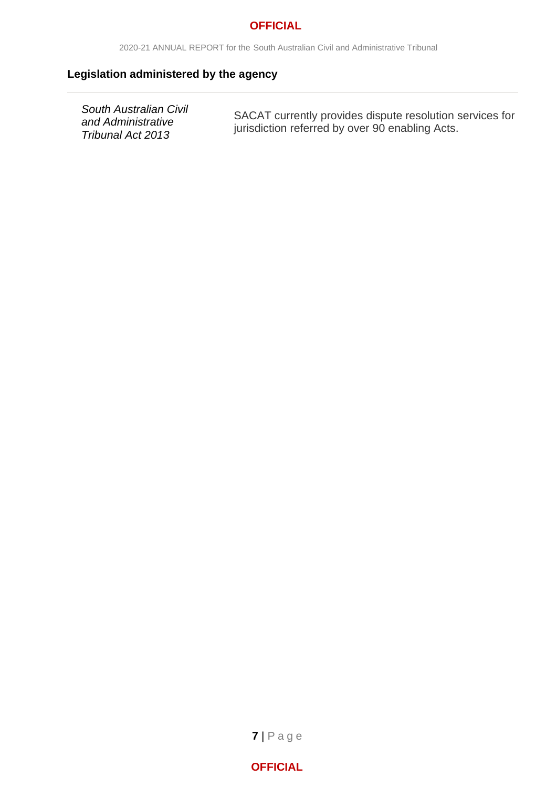2020-21 ANNUAL REPORT for the South Australian Civil and Administrative Tribunal

# <span id="page-6-0"></span>**Legislation administered by the agency**

*South Australian Civil and Administrative Tribunal Act 2013*

SACAT currently provides dispute resolution services for jurisdiction referred by over 90 enabling Acts.

**7** | P a g e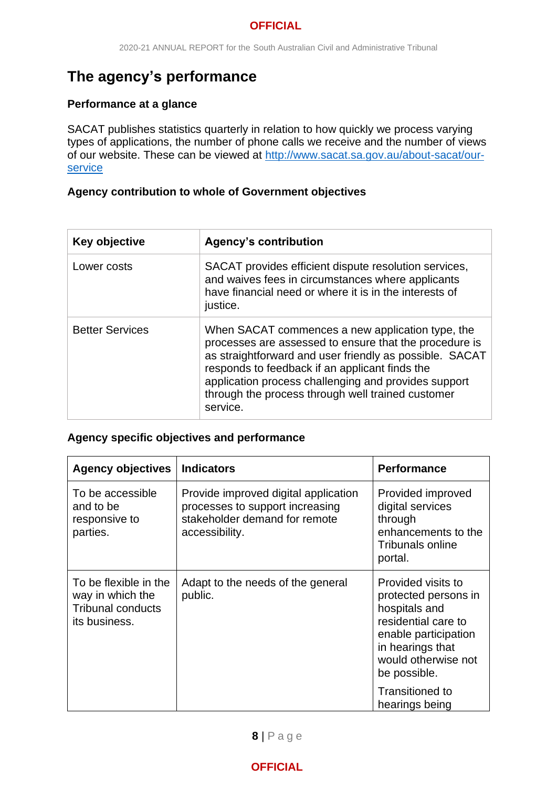# <span id="page-7-0"></span>**The agency's performance**

# <span id="page-7-1"></span>**Performance at a glance**

SACAT publishes statistics quarterly in relation to how quickly we process varying types of applications, the number of phone calls we receive and the number of views of our website. These can be viewed at [http://www.sacat.sa.gov.au/about-sacat/our](http://www.sacat.sa.gov.au/about-sacat/our-service)[service](http://www.sacat.sa.gov.au/about-sacat/our-service)

# <span id="page-7-2"></span>**Agency contribution to whole of Government objectives**

| Key objective          | <b>Agency's contribution</b>                                                                                                                                                                                                                                                                                                                     |
|------------------------|--------------------------------------------------------------------------------------------------------------------------------------------------------------------------------------------------------------------------------------------------------------------------------------------------------------------------------------------------|
| Lower costs            | SACAT provides efficient dispute resolution services,<br>and waives fees in circumstances where applicants<br>have financial need or where it is in the interests of<br>justice.                                                                                                                                                                 |
| <b>Better Services</b> | When SACAT commences a new application type, the<br>processes are assessed to ensure that the procedure is<br>as straightforward and user friendly as possible. SACAT<br>responds to feedback if an applicant finds the<br>application process challenging and provides support<br>through the process through well trained customer<br>service. |

# <span id="page-7-3"></span>**Agency specific objectives and performance**

| <b>Agency objectives</b>                                                               | <b>Indicators</b>                                                                                                          | <b>Performance</b>                                                                                                                                                    |
|----------------------------------------------------------------------------------------|----------------------------------------------------------------------------------------------------------------------------|-----------------------------------------------------------------------------------------------------------------------------------------------------------------------|
| To be accessible<br>and to be<br>responsive to<br>parties.                             | Provide improved digital application<br>processes to support increasing<br>stakeholder demand for remote<br>accessibility. | Provided improved<br>digital services<br>through<br>enhancements to the<br><b>Tribunals online</b><br>portal.                                                         |
| To be flexible in the<br>way in which the<br><b>Tribunal conducts</b><br>its business. | Adapt to the needs of the general<br>public.                                                                               | Provided visits to<br>protected persons in<br>hospitals and<br>residential care to<br>enable participation<br>in hearings that<br>would otherwise not<br>be possible. |
|                                                                                        |                                                                                                                            | <b>Transitioned to</b><br>hearings being                                                                                                                              |

# **8** | P a g e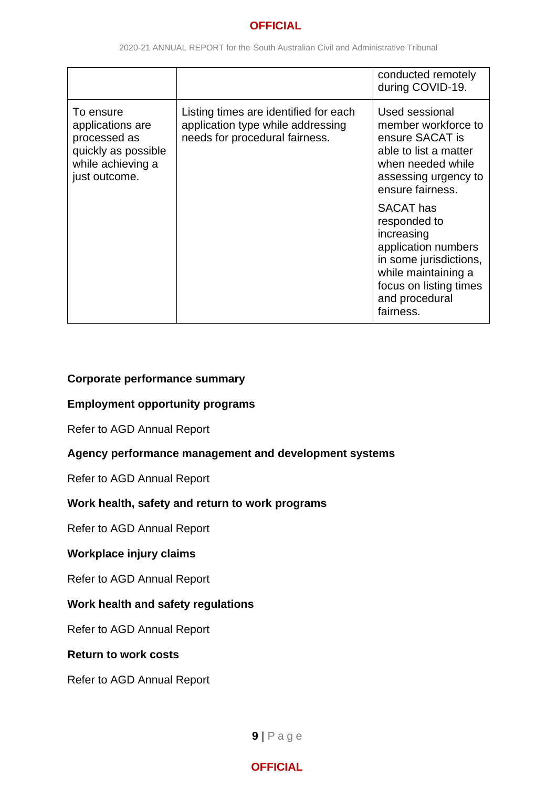|                                                                                                            |                                                                                                              | conducted remotely<br>during COVID-19.                                                                                                                                          |
|------------------------------------------------------------------------------------------------------------|--------------------------------------------------------------------------------------------------------------|---------------------------------------------------------------------------------------------------------------------------------------------------------------------------------|
| To ensure<br>applications are<br>processed as<br>quickly as possible<br>while achieving a<br>just outcome. | Listing times are identified for each<br>application type while addressing<br>needs for procedural fairness. | Used sessional<br>member workforce to<br>ensure SACAT is<br>able to list a matter<br>when needed while<br>assessing urgency to<br>ensure fairness.                              |
|                                                                                                            |                                                                                                              | <b>SACAT</b> has<br>responded to<br>increasing<br>application numbers<br>in some jurisdictions,<br>while maintaining a<br>focus on listing times<br>and procedural<br>fairness. |

# <span id="page-8-0"></span>**Corporate performance summary**

#### <span id="page-8-1"></span>**Employment opportunity programs**

Refer to AGD Annual Report

#### <span id="page-8-2"></span>**Agency performance management and development systems**

Refer to AGD Annual Report

# <span id="page-8-3"></span>**Work health, safety and return to work programs**

Refer to AGD Annual Report

# <span id="page-8-4"></span>**Workplace injury claims**

Refer to AGD Annual Report

# <span id="page-8-5"></span>**Work health and safety regulations**

Refer to AGD Annual Report

#### <span id="page-8-6"></span>**Return to work costs**

Refer to AGD Annual Report

**9** | P a g e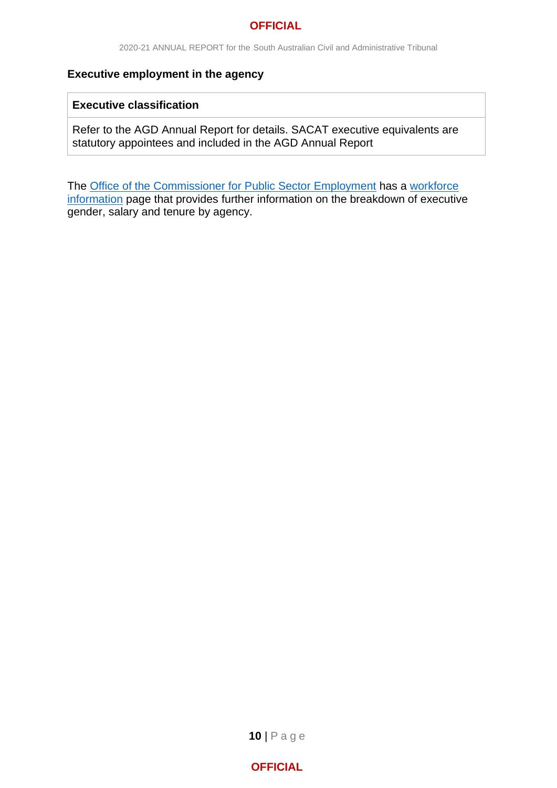#### <span id="page-9-0"></span>**Executive employment in the agency**

#### **Executive classification**

Refer to the AGD Annual Report for details. SACAT executive equivalents are statutory appointees and included in the AGD Annual Report

The **Office of the Commissioner for Public Sector Employment has a workforce** [information](https://publicsector.sa.gov.au/about/office-for-the-public-sector/workforce-information/) page that provides further information on the breakdown of executive gender, salary and tenure by agency.

**10** | P a g e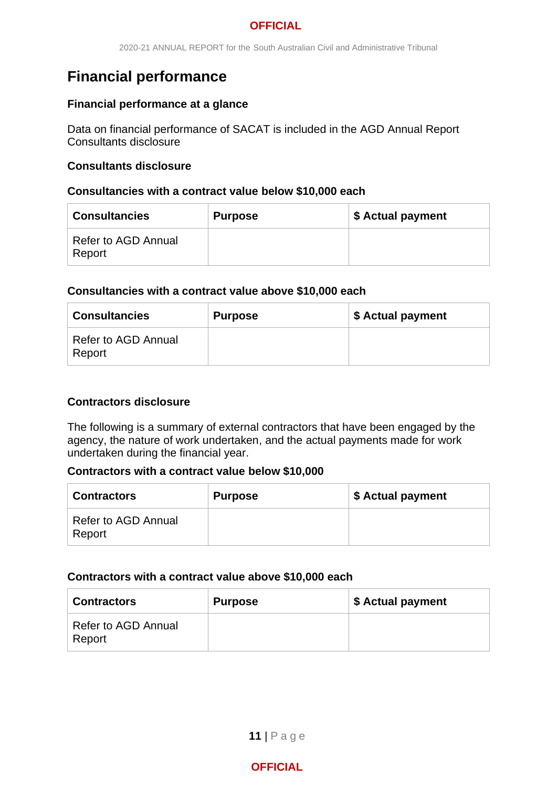# <span id="page-10-0"></span>**Financial performance**

## <span id="page-10-1"></span>**Financial performance at a glance**

Data on financial performance of SACAT is included in the AGD Annual Report Consultants disclosure

## <span id="page-10-2"></span>**Consultants disclosure**

#### **Consultancies with a contract value below \$10,000 each**

| <b>Consultancies</b>          | <b>Purpose</b> | \$ Actual payment |
|-------------------------------|----------------|-------------------|
| Refer to AGD Annual<br>Report |                |                   |

#### **Consultancies with a contract value above \$10,000 each**

| <b>Consultancies</b>          | <b>Purpose</b> | \$ Actual payment |
|-------------------------------|----------------|-------------------|
| Refer to AGD Annual<br>Report |                |                   |

# <span id="page-10-3"></span>**Contractors disclosure**

The following is a summary of external contractors that have been engaged by the agency, the nature of work undertaken, and the actual payments made for work undertaken during the financial year.

#### **Contractors with a contract value below \$10,000**

| <b>Contractors</b>            | <b>Purpose</b> | \$ Actual payment |
|-------------------------------|----------------|-------------------|
| Refer to AGD Annual<br>Report |                |                   |

# **Contractors with a contract value above \$10,000 each**

| <b>Contractors</b>            | <b>Purpose</b> | \$ Actual payment |
|-------------------------------|----------------|-------------------|
| Refer to AGD Annual<br>Report |                |                   |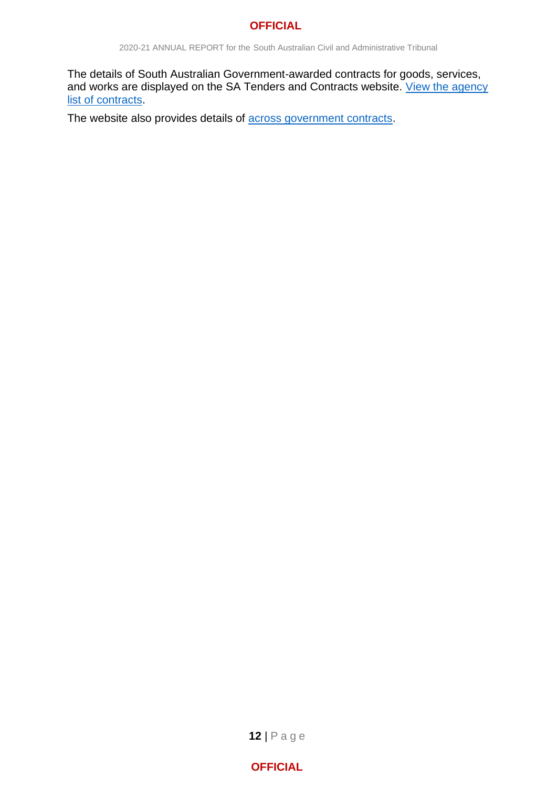2020-21 ANNUAL REPORT for the South Australian Civil and Administrative Tribunal

The details of South Australian Government-awarded contracts for goods, services, and works are displayed on the SA Tenders and Contracts website. View the agency [list of contracts.](https://www.tenders.sa.gov.au/contract/buyerIndex)

The website also provides details of **across government contracts**.

**12** | P a g e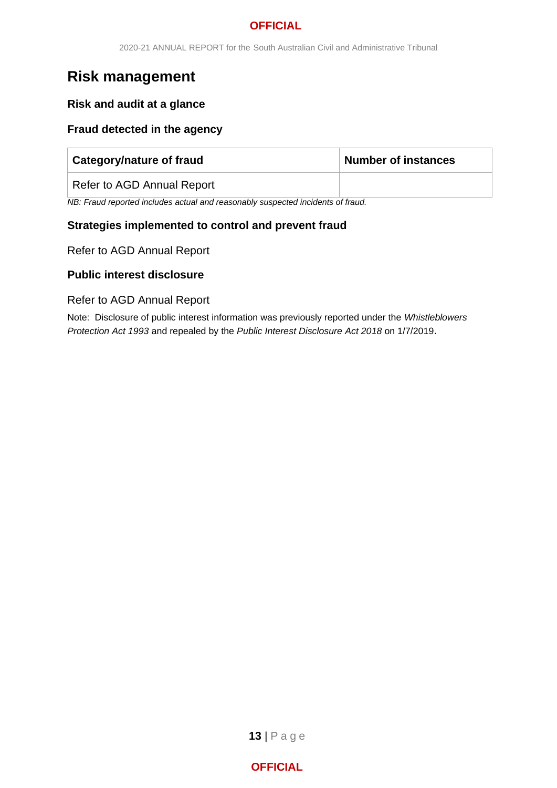# <span id="page-12-0"></span>**Risk management**

## <span id="page-12-1"></span>**Risk and audit at a glance**

#### <span id="page-12-2"></span>**Fraud detected in the agency**

| <b>Category/nature of fraud</b> | Number of instances |
|---------------------------------|---------------------|
| Refer to AGD Annual Report      |                     |

*NB: Fraud reported includes actual and reasonably suspected incidents of fraud.* 

#### <span id="page-12-3"></span>**Strategies implemented to control and prevent fraud**

Refer to AGD Annual Report

#### <span id="page-12-4"></span>**Public interest disclosure**

#### Refer to AGD Annual Report

Note: Disclosure of public interest information was previously reported under the *Whistleblowers Protection Act 1993* and repealed by the *Public Interest Disclosure Act 2018* on 1/7/2019.

**13** | P a g e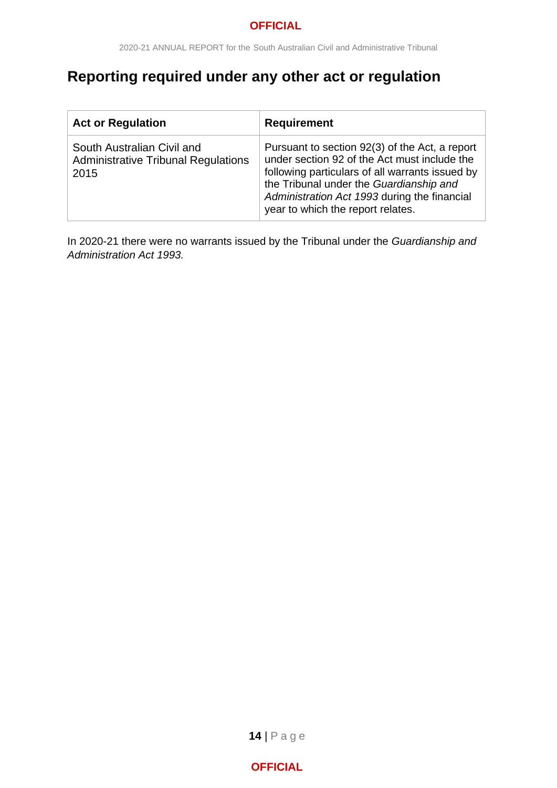# <span id="page-13-0"></span>**Reporting required under any other act or regulation**

| <b>Act or Regulation</b>                                                         | <b>Requirement</b>                                                                                                                                                                                                                                                                |
|----------------------------------------------------------------------------------|-----------------------------------------------------------------------------------------------------------------------------------------------------------------------------------------------------------------------------------------------------------------------------------|
| South Australian Civil and<br><b>Administrative Tribunal Regulations</b><br>2015 | Pursuant to section 92(3) of the Act, a report<br>under section 92 of the Act must include the<br>following particulars of all warrants issued by<br>the Tribunal under the Guardianship and<br>Administration Act 1993 during the financial<br>year to which the report relates. |

In 2020-21 there were no warrants issued by the Tribunal under the *[Guardianship and](http://www.legislation.sa.gov.au/index.aspx?action=legref&type=act&legtitle=Guardianship%20and%20Administration%20Act%201993)  [Administration Act](http://www.legislation.sa.gov.au/index.aspx?action=legref&type=act&legtitle=Guardianship%20and%20Administration%20Act%201993) 1993.*

**14** | P a g e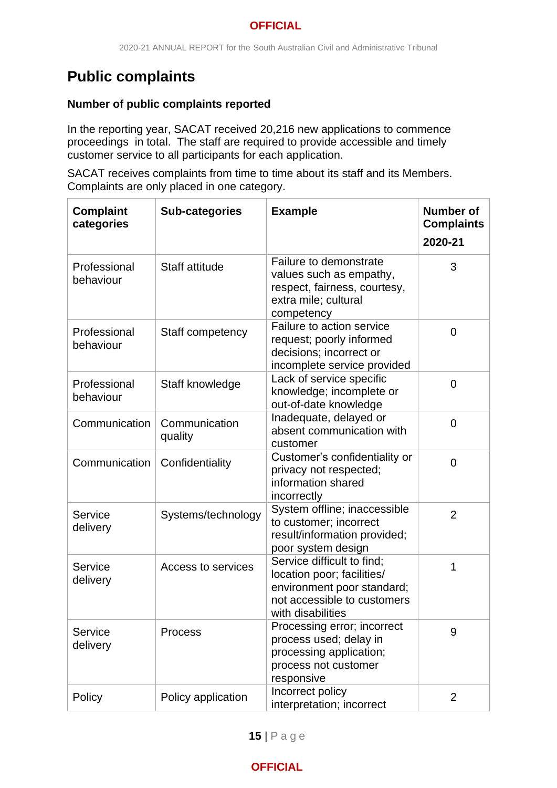# <span id="page-14-0"></span>**Public complaints**

# <span id="page-14-1"></span>**Number of public complaints reported**

In the reporting year, SACAT received 20,216 new applications to commence proceedings in total. The staff are required to provide accessible and timely customer service to all participants for each application.

SACAT receives complaints from time to time about its staff and its Members. Complaints are only placed in one category.

| <b>Complaint</b><br>categories | <b>Sub-categories</b>    | <b>Example</b>                                                                                                                             | <b>Number of</b><br><b>Complaints</b><br>2020-21 |
|--------------------------------|--------------------------|--------------------------------------------------------------------------------------------------------------------------------------------|--------------------------------------------------|
| Professional<br>behaviour      | <b>Staff attitude</b>    | Failure to demonstrate<br>values such as empathy,<br>respect, fairness, courtesy,<br>extra mile; cultural<br>competency                    | 3                                                |
| Professional<br>behaviour      | Staff competency         | Failure to action service<br>request; poorly informed<br>decisions; incorrect or<br>incomplete service provided                            | 0                                                |
| Professional<br>behaviour      | Staff knowledge          | Lack of service specific<br>knowledge; incomplete or<br>out-of-date knowledge                                                              | $\overline{0}$                                   |
| Communication                  | Communication<br>quality | Inadequate, delayed or<br>absent communication with<br>customer                                                                            | $\overline{0}$                                   |
| Communication                  | Confidentiality          | Customer's confidentiality or<br>privacy not respected;<br>information shared<br>incorrectly                                               | $\overline{0}$                                   |
| Service<br>delivery            | Systems/technology       | System offline; inaccessible<br>to customer; incorrect<br>result/information provided;<br>poor system design                               | $\overline{2}$                                   |
| Service<br>delivery            | Access to services       | Service difficult to find;<br>location poor; facilities/<br>environment poor standard;<br>not accessible to customers<br>with disabilities | 1                                                |
| Service<br>delivery            | <b>Process</b>           | Processing error; incorrect<br>process used; delay in<br>processing application;<br>process not customer<br>responsive                     | 9                                                |
| Policy                         | Policy application       | Incorrect policy<br>interpretation; incorrect                                                                                              | $\overline{2}$                                   |

**15** | P a g e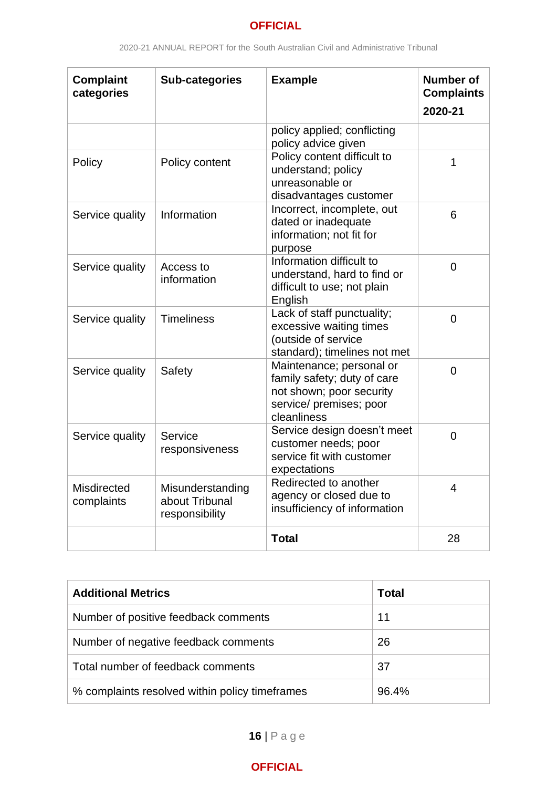| <b>Complaint</b><br>categories | <b>Sub-categories</b>                                | <b>Example</b>                                                                                                                | <b>Number of</b><br><b>Complaints</b><br>2020-21 |
|--------------------------------|------------------------------------------------------|-------------------------------------------------------------------------------------------------------------------------------|--------------------------------------------------|
|                                |                                                      | policy applied; conflicting<br>policy advice given                                                                            |                                                  |
| Policy                         | Policy content                                       | Policy content difficult to<br>understand; policy<br>unreasonable or<br>disadvantages customer                                | 1                                                |
| Service quality                | Information                                          | Incorrect, incomplete, out<br>dated or inadequate<br>information; not fit for<br>purpose                                      | 6                                                |
| Service quality                | Access to<br>information                             | Information difficult to<br>understand, hard to find or<br>difficult to use; not plain<br>English                             | $\overline{0}$                                   |
| Service quality                | <b>Timeliness</b>                                    | Lack of staff punctuality;<br>excessive waiting times<br>(outside of service<br>standard); timelines not met                  | $\overline{0}$                                   |
| Service quality                | Safety                                               | Maintenance; personal or<br>family safety; duty of care<br>not shown; poor security<br>service/ premises; poor<br>cleanliness | $\overline{0}$                                   |
| Service quality                | Service<br>responsiveness                            | Service design doesn't meet<br>customer needs; poor<br>service fit with customer<br>expectations                              | $\overline{0}$                                   |
| Misdirected<br>complaints      | Misunderstanding<br>about Tribunal<br>responsibility | Redirected to another<br>agency or closed due to<br>insufficiency of information                                              | $\overline{4}$                                   |
|                                |                                                      | <b>Total</b>                                                                                                                  | 28                                               |

<span id="page-15-0"></span>

| <b>Additional Metrics</b>                      | <b>Total</b> |
|------------------------------------------------|--------------|
| Number of positive feedback comments           | 11           |
| Number of negative feedback comments           | 26           |
| Total number of feedback comments              | 37           |
| % complaints resolved within policy timeframes | 96.4%        |

**16** | P a g e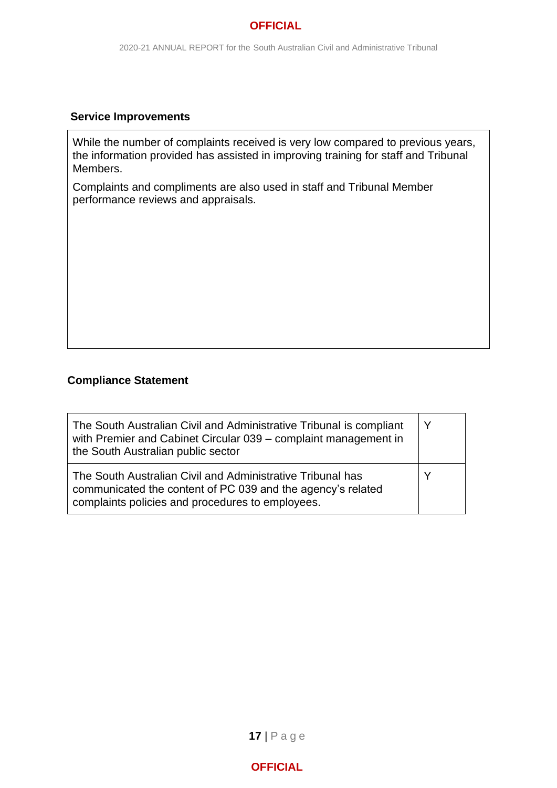#### <span id="page-16-0"></span>**Service Improvements**

While the number of complaints received is very low compared to previous years, the information provided has assisted in improving training for staff and Tribunal Members.

Complaints and compliments are also used in staff and Tribunal Member performance reviews and appraisals.

#### <span id="page-16-1"></span>**Compliance Statement**

| The South Australian Civil and Administrative Tribunal is compliant<br>with Premier and Cabinet Circular 039 - complaint management in<br>the South Australian public sector  | Υ |
|-------------------------------------------------------------------------------------------------------------------------------------------------------------------------------|---|
| The South Australian Civil and Administrative Tribunal has<br>communicated the content of PC 039 and the agency's related<br>complaints policies and procedures to employees. |   |

**17** | P a g e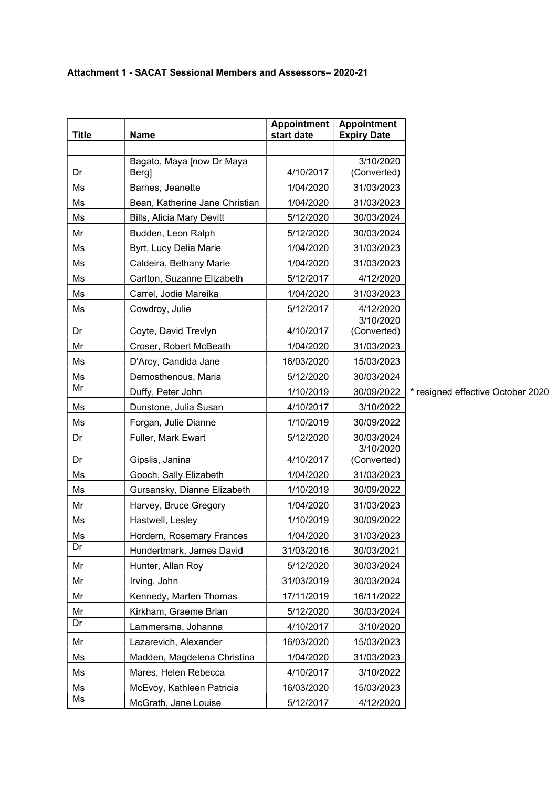#### Attachment 1 - SACAT Sessional Members and Assessors– 2020-21

| <b>Title</b> | <b>Name</b>                      | <b>Appointment</b><br>start date | <b>Appointment</b><br><b>Expiry Date</b> |                                   |
|--------------|----------------------------------|----------------------------------|------------------------------------------|-----------------------------------|
|              |                                  |                                  |                                          |                                   |
|              | Bagato, Maya [now Dr Maya        |                                  | 3/10/2020                                |                                   |
| Dr           | <b>Bergl</b>                     | 4/10/2017                        | (Converted)                              |                                   |
| Ms           | Barnes, Jeanette                 | 1/04/2020                        | 31/03/2023                               |                                   |
| Ms           | Bean, Katherine Jane Christian   | 1/04/2020                        | 31/03/2023                               |                                   |
| Ms           | <b>Bills, Alicia Mary Devitt</b> | 5/12/2020                        | 30/03/2024                               |                                   |
| Mr           | Budden, Leon Ralph               | 5/12/2020                        | 30/03/2024                               |                                   |
| Ms           | Byrt, Lucy Delia Marie           | 1/04/2020                        | 31/03/2023                               |                                   |
| Ms           | Caldeira, Bethany Marie          | 1/04/2020                        | 31/03/2023                               |                                   |
| Ms           | Carlton, Suzanne Elizabeth       | 5/12/2017                        | 4/12/2020                                |                                   |
| Ms           | Carrel, Jodie Mareika            | 1/04/2020                        | 31/03/2023                               |                                   |
| Ms           | Cowdroy, Julie                   | 5/12/2017                        | 4/12/2020                                |                                   |
|              |                                  |                                  | 3/10/2020                                |                                   |
| Dr           | Coyte, David Trevlyn             | 4/10/2017                        | (Converted)                              |                                   |
| Mr           | Croser, Robert McBeath           | 1/04/2020                        | 31/03/2023                               |                                   |
| Ms           | D'Arcy, Candida Jane             | 16/03/2020                       | 15/03/2023                               |                                   |
| Ms<br>Mr     | Demosthenous, Maria              | 5/12/2020                        | 30/03/2024                               |                                   |
|              | Duffy, Peter John                | 1/10/2019                        | 30/09/2022                               | * resigned effective October 2020 |
| Ms           | Dunstone, Julia Susan            | 4/10/2017                        | 3/10/2022                                |                                   |
| Ms           | Forgan, Julie Dianne             | 1/10/2019                        | 30/09/2022                               |                                   |
| Dr           | Fuller, Mark Ewart               | 5/12/2020                        | 30/03/2024<br>3/10/2020                  |                                   |
| Dr           | Gipslis, Janina                  | 4/10/2017                        | (Converted)                              |                                   |
| Ms           | Gooch, Sally Elizabeth           | 1/04/2020                        | 31/03/2023                               |                                   |
| Ms           | Gursansky, Dianne Elizabeth      | 1/10/2019                        | 30/09/2022                               |                                   |
| Mr           | Harvey, Bruce Gregory            | 1/04/2020                        | 31/03/2023                               |                                   |
| Ms           | Hastwell, Lesley                 | 1/10/2019                        | 30/09/2022                               |                                   |
| Ms           | Hordern, Rosemary Frances        | 1/04/2020                        | 31/03/2023                               |                                   |
| Dr           | Hundertmark, James David         | 31/03/2016                       | 30/03/2021                               |                                   |
| Mr           | Hunter, Allan Roy                | 5/12/2020                        | 30/03/2024                               |                                   |
| Mr           | Irving, John                     | 31/03/2019                       | 30/03/2024                               |                                   |
| Mr           | Kennedy, Marten Thomas           | 17/11/2019                       | 16/11/2022                               |                                   |
| Mr           | Kirkham, Graeme Brian            | 5/12/2020                        | 30/03/2024                               |                                   |
| Dr           | Lammersma, Johanna               | 4/10/2017                        | 3/10/2020                                |                                   |
| Mr           | Lazarevich, Alexander            | 16/03/2020                       | 15/03/2023                               |                                   |
| Ms           | Madden, Magdelena Christina      | 1/04/2020                        | 31/03/2023                               |                                   |
| Ms           | Mares, Helen Rebecca             | 4/10/2017                        | 3/10/2022                                |                                   |
| Ms           | McEvoy, Kathleen Patricia        | 16/03/2020                       | 15/03/2023                               |                                   |
| Ms           | McGrath, Jane Louise             | 5/12/2017                        | 4/12/2020                                |                                   |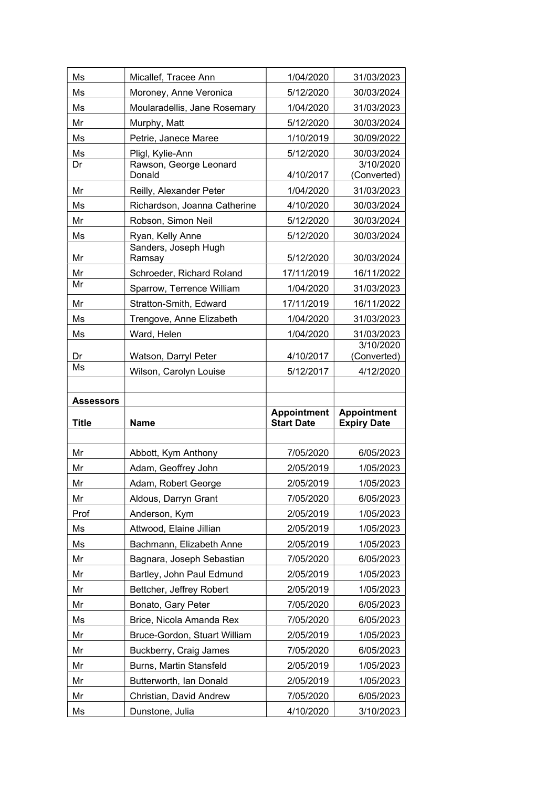| Ms               | Micallef, Tracee Ann             | 1/04/2020                               | 31/03/2023                               |
|------------------|----------------------------------|-----------------------------------------|------------------------------------------|
| Ms               | Moroney, Anne Veronica           | 5/12/2020                               | 30/03/2024                               |
| Ms               | Moularadellis, Jane Rosemary     | 1/04/2020                               | 31/03/2023                               |
| Mr               | Murphy, Matt                     | 5/12/2020                               | 30/03/2024                               |
| Ms               | Petrie, Janece Maree             | 1/10/2019                               | 30/09/2022                               |
| Ms               | Pligl, Kylie-Ann                 | 5/12/2020                               | 30/03/2024                               |
| Dr               | Rawson, George Leonard<br>Donald | 4/10/2017                               | 3/10/2020<br>(Converted)                 |
| Mr               | Reilly, Alexander Peter          | 1/04/2020                               | 31/03/2023                               |
| Ms               | Richardson, Joanna Catherine     | 4/10/2020                               | 30/03/2024                               |
| Mr               | Robson, Simon Neil               | 5/12/2020                               | 30/03/2024                               |
| Ms               | Ryan, Kelly Anne                 | 5/12/2020                               | 30/03/2024                               |
| Mr               | Sanders, Joseph Hugh<br>Ramsay   | 5/12/2020                               | 30/03/2024                               |
| Mr               | Schroeder, Richard Roland        | 17/11/2019                              | 16/11/2022                               |
| Mr               | Sparrow, Terrence William        | 1/04/2020                               | 31/03/2023                               |
| Mr               | Stratton-Smith, Edward           | 17/11/2019                              | 16/11/2022                               |
| Ms               | Trengove, Anne Elizabeth         | 1/04/2020                               | 31/03/2023                               |
| Ms               | Ward, Helen                      | 1/04/2020                               | 31/03/2023                               |
|                  |                                  |                                         | 3/10/2020                                |
| Dr<br>Ms         | Watson, Darryl Peter             | 4/10/2017                               | (Converted)                              |
|                  | Wilson, Carolyn Louise           | 5/12/2017                               | 4/12/2020                                |
|                  |                                  |                                         |                                          |
|                  |                                  |                                         |                                          |
| <b>Assessors</b> |                                  |                                         |                                          |
| <b>Title</b>     | <b>Name</b>                      | <b>Appointment</b><br><b>Start Date</b> | <b>Appointment</b><br><b>Expiry Date</b> |
|                  |                                  |                                         |                                          |
| Mr               | Abbott, Kym Anthony              | 7/05/2020                               | 6/05/2023                                |
| Mr               | Adam, Geoffrey John              | 2/05/2019                               | 1/05/2023                                |
| Mr               | Adam, Robert George              | 2/05/2019                               | 1/05/2023                                |
| Mr               | Aldous, Darryn Grant             | 7/05/2020                               | 6/05/2023                                |
| Prof             | Anderson, Kym                    | 2/05/2019                               | 1/05/2023                                |
| Ms               | Attwood, Elaine Jillian          | 2/05/2019                               | 1/05/2023                                |
| Ms               | Bachmann, Elizabeth Anne         | 2/05/2019                               | 1/05/2023                                |
| Mr               | Bagnara, Joseph Sebastian        | 7/05/2020                               | 6/05/2023                                |
| Mr               | Bartley, John Paul Edmund        | 2/05/2019                               | 1/05/2023                                |
| Mr               | Bettcher, Jeffrey Robert         | 2/05/2019                               | 1/05/2023                                |
| Mr               | Bonato, Gary Peter               | 7/05/2020                               | 6/05/2023                                |
| Ms               | Brice, Nicola Amanda Rex         | 7/05/2020                               | 6/05/2023                                |
| Mr               | Bruce-Gordon, Stuart William     | 2/05/2019                               | 1/05/2023                                |
| Mr               | Buckberry, Craig James           | 7/05/2020                               | 6/05/2023                                |
| Mr               | Burns, Martin Stansfeld          | 2/05/2019                               | 1/05/2023                                |
| Mr               | Butterworth, Ian Donald          | 2/05/2019                               | 1/05/2023                                |
| Mr               | Christian, David Andrew          | 7/05/2020                               | 6/05/2023                                |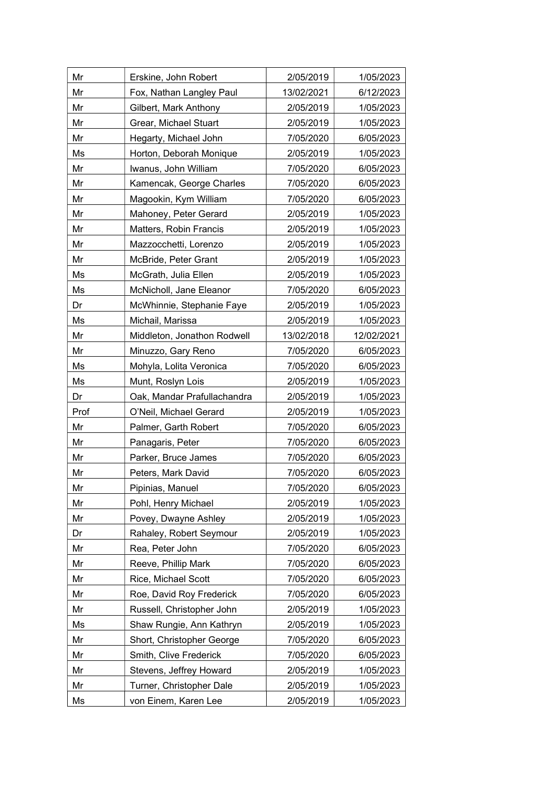| Mr   | Erskine, John Robert        | 2/05/2019  | 1/05/2023  |
|------|-----------------------------|------------|------------|
| Mr   | Fox, Nathan Langley Paul    | 13/02/2021 | 6/12/2023  |
| Mr   | Gilbert, Mark Anthony       | 2/05/2019  | 1/05/2023  |
| Mr   | Grear, Michael Stuart       | 2/05/2019  | 1/05/2023  |
| Mr   | Hegarty, Michael John       | 7/05/2020  | 6/05/2023  |
| Ms   | Horton, Deborah Monique     | 2/05/2019  | 1/05/2023  |
| Mr   | Iwanus, John William        | 7/05/2020  | 6/05/2023  |
| Mr   | Kamencak, George Charles    | 7/05/2020  | 6/05/2023  |
| Mr   | Magookin, Kym William       | 7/05/2020  | 6/05/2023  |
| Mr   | Mahoney, Peter Gerard       | 2/05/2019  | 1/05/2023  |
| Mr   | Matters, Robin Francis      | 2/05/2019  | 1/05/2023  |
| Mr   | Mazzocchetti, Lorenzo       | 2/05/2019  | 1/05/2023  |
| Mr   | McBride, Peter Grant        | 2/05/2019  | 1/05/2023  |
| Ms   | McGrath, Julia Ellen        | 2/05/2019  | 1/05/2023  |
| Ms   | McNicholl, Jane Eleanor     | 7/05/2020  | 6/05/2023  |
| Dr   | McWhinnie, Stephanie Faye   | 2/05/2019  | 1/05/2023  |
| Ms   | Michail, Marissa            | 2/05/2019  | 1/05/2023  |
| Mr   | Middleton, Jonathon Rodwell | 13/02/2018 | 12/02/2021 |
| Mr   | Minuzzo, Gary Reno          | 7/05/2020  | 6/05/2023  |
| Ms   | Mohyla, Lolita Veronica     | 7/05/2020  | 6/05/2023  |
| Ms   | Munt, Roslyn Lois           | 2/05/2019  | 1/05/2023  |
| Dr   | Oak, Mandar Prafullachandra | 2/05/2019  | 1/05/2023  |
| Prof | O'Neil, Michael Gerard      | 2/05/2019  | 1/05/2023  |
| Mr   | Palmer, Garth Robert        | 7/05/2020  | 6/05/2023  |
| Mr   | Panagaris, Peter            | 7/05/2020  | 6/05/2023  |
| Mr   | Parker, Bruce James         | 7/05/2020  | 6/05/2023  |
| Mr   | Peters, Mark David          | 7/05/2020  | 6/05/2023  |
| Mr   | Pipinias, Manuel            | 7/05/2020  | 6/05/2023  |
| Mr   | Pohl, Henry Michael         | 2/05/2019  | 1/05/2023  |
| Mr   | Povey, Dwayne Ashley        | 2/05/2019  | 1/05/2023  |
| Dr   | Rahaley, Robert Seymour     | 2/05/2019  | 1/05/2023  |
| Mr   | Rea, Peter John             | 7/05/2020  | 6/05/2023  |
| Mr   | Reeve, Phillip Mark         | 7/05/2020  | 6/05/2023  |
| Mr   | Rice, Michael Scott         | 7/05/2020  | 6/05/2023  |
| Mr   | Roe, David Roy Frederick    | 7/05/2020  | 6/05/2023  |
| Mr   | Russell, Christopher John   | 2/05/2019  | 1/05/2023  |
| Ms   | Shaw Rungie, Ann Kathryn    | 2/05/2019  | 1/05/2023  |
| Mr   | Short, Christopher George   | 7/05/2020  | 6/05/2023  |
| Mr   | Smith, Clive Frederick      | 7/05/2020  | 6/05/2023  |
| Mr   | Stevens, Jeffrey Howard     | 2/05/2019  | 1/05/2023  |
| Mr   |                             |            |            |
|      | Turner, Christopher Dale    | 2/05/2019  | 1/05/2023  |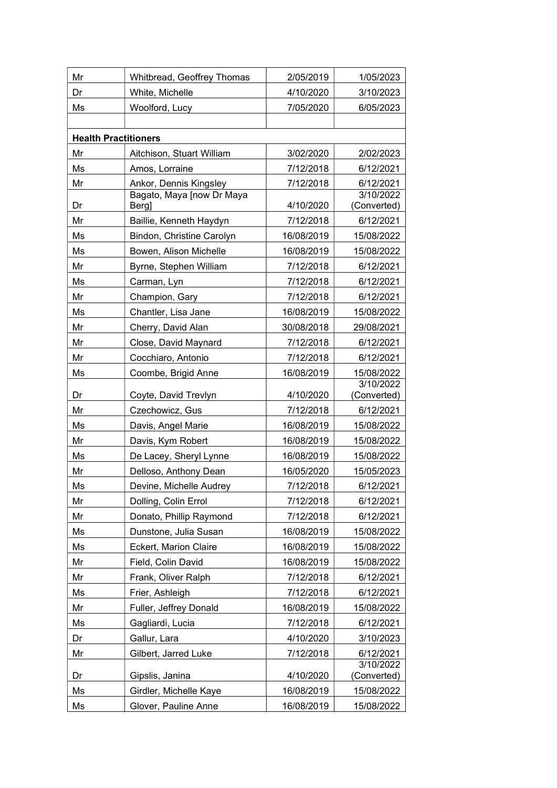| Mr | Whitbread, Geoffrey Thomas   | 2/05/2019              | 1/05/2023                |
|----|------------------------------|------------------------|--------------------------|
| Dr | White, Michelle              | 4/10/2020              | 3/10/2023                |
| Ms | Woolford, Lucy               | 7/05/2020              | 6/05/2023                |
|    |                              |                        |                          |
|    | <b>Health Practitioners</b>  |                        |                          |
| Mr | Aitchison, Stuart William    | 3/02/2020              | 2/02/2023                |
| Ms | Amos, Lorraine               | 7/12/2018              | 6/12/2021                |
| Mr | Ankor, Dennis Kingsley       | 7/12/2018              | 6/12/2021                |
| Dr | Bagato, Maya [now Dr Maya    |                        | 3/10/2022                |
| Mr | <b>Berg</b>                  | 4/10/2020<br>7/12/2018 | (Converted)<br>6/12/2021 |
|    | Baillie, Kenneth Haydyn      |                        |                          |
| Ms | Bindon, Christine Carolyn    | 16/08/2019             | 15/08/2022               |
| Ms | Bowen, Alison Michelle       | 16/08/2019             | 15/08/2022               |
| Mr | Byrne, Stephen William       | 7/12/2018              | 6/12/2021                |
| Ms | Carman, Lyn                  | 7/12/2018              | 6/12/2021                |
| Mr | Champion, Gary               | 7/12/2018              | 6/12/2021                |
| Ms | Chantler, Lisa Jane          | 16/08/2019             | 15/08/2022               |
| Mr | Cherry, David Alan           | 30/08/2018             | 29/08/2021               |
| Mr | Close, David Maynard         | 7/12/2018              | 6/12/2021                |
| Mr | Cocchiaro, Antonio           | 7/12/2018              | 6/12/2021                |
| Ms | Coombe, Brigid Anne          | 16/08/2019             | 15/08/2022<br>3/10/2022  |
| Dr | Coyte, David Trevlyn         | 4/10/2020              | (Converted)              |
| Mr | Czechowicz, Gus              | 7/12/2018              | 6/12/2021                |
| Ms | Davis, Angel Marie           | 16/08/2019             | 15/08/2022               |
| Mr | Davis, Kym Robert            | 16/08/2019             | 15/08/2022               |
| Ms | De Lacey, Sheryl Lynne       | 16/08/2019             | 15/08/2022               |
| Mr | Delloso, Anthony Dean        | 16/05/2020             | 15/05/2023               |
| Ms | Devine, Michelle Audrey      | 7/12/2018              | 6/12/2021                |
| Mr | Dolling, Colin Errol         | 7/12/2018              | 6/12/2021                |
| Mr | Donato, Phillip Raymond      | 7/12/2018              | 6/12/2021                |
| Ms | Dunstone, Julia Susan        | 16/08/2019             | 15/08/2022               |
| Ms | <b>Eckert, Marion Claire</b> | 16/08/2019             | 15/08/2022               |
| Mr | Field, Colin David           | 16/08/2019             | 15/08/2022               |
| Mr | Frank, Oliver Ralph          | 7/12/2018              | 6/12/2021                |
| Ms | Frier, Ashleigh              | 7/12/2018              | 6/12/2021                |
| Mr | Fuller, Jeffrey Donald       | 16/08/2019             | 15/08/2022               |
| Ms | Gagliardi, Lucia             | 7/12/2018              | 6/12/2021                |
| Dr | Gallur, Lara                 | 4/10/2020              | 3/10/2023                |
| Mr | Gilbert, Jarred Luke         | 7/12/2018              | 6/12/2021                |
|    |                              |                        | 3/10/2022                |
| Dr | Gipslis, Janina              | 4/10/2020              | (Converted)              |
| Ms | Girdler, Michelle Kaye       | 16/08/2019             | 15/08/2022               |
| Ms | Glover, Pauline Anne         | 16/08/2019             | 15/08/2022               |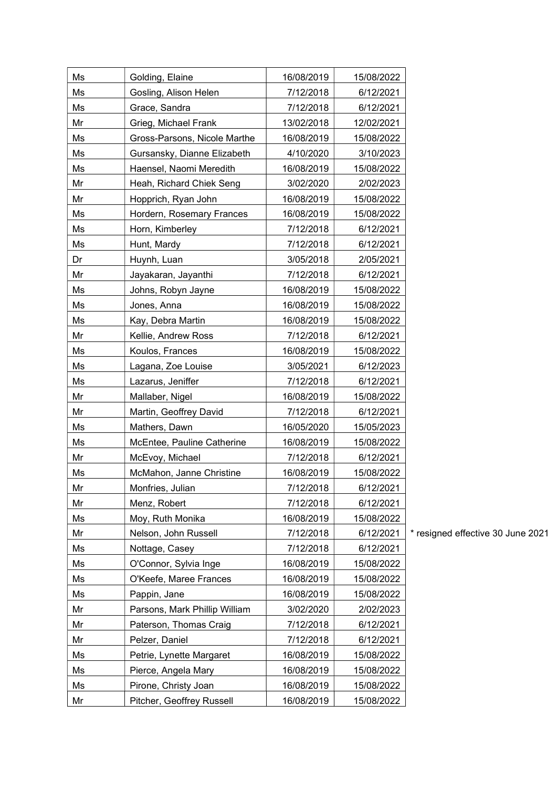| Ms | Golding, Elaine               | 16/08/2019 | 15/08/2022 |            |
|----|-------------------------------|------------|------------|------------|
| Ms | Gosling, Alison Helen         | 7/12/2018  | 6/12/2021  |            |
| Ms | Grace, Sandra                 | 7/12/2018  | 6/12/2021  |            |
| Mr | Grieg, Michael Frank          | 13/02/2018 | 12/02/2021 |            |
| Ms | Gross-Parsons, Nicole Marthe  | 16/08/2019 | 15/08/2022 |            |
| Ms | Gursansky, Dianne Elizabeth   | 4/10/2020  | 3/10/2023  |            |
| Ms | Haensel, Naomi Meredith       | 16/08/2019 | 15/08/2022 |            |
| Mr | Heah, Richard Chiek Seng      | 3/02/2020  | 2/02/2023  |            |
| Mr | Hopprich, Ryan John           | 16/08/2019 | 15/08/2022 |            |
| Ms | Hordern, Rosemary Frances     | 16/08/2019 | 15/08/2022 |            |
| Ms | Horn, Kimberley               | 7/12/2018  | 6/12/2021  |            |
| Ms | Hunt, Mardy                   | 7/12/2018  | 6/12/2021  |            |
| Dr | Huynh, Luan                   | 3/05/2018  | 2/05/2021  |            |
| Mr | Jayakaran, Jayanthi           | 7/12/2018  | 6/12/2021  |            |
| Ms | Johns, Robyn Jayne            | 16/08/2019 | 15/08/2022 |            |
| Ms | Jones, Anna                   | 16/08/2019 | 15/08/2022 |            |
| Ms | Kay, Debra Martin             | 16/08/2019 | 15/08/2022 |            |
| Mr | Kellie, Andrew Ross           | 7/12/2018  | 6/12/2021  |            |
| Ms | Koulos, Frances               | 16/08/2019 | 15/08/2022 |            |
| Ms | Lagana, Zoe Louise            | 3/05/2021  | 6/12/2023  |            |
| Ms | Lazarus, Jeniffer             | 7/12/2018  | 6/12/2021  |            |
| Mr | Mallaber, Nigel               | 16/08/2019 | 15/08/2022 |            |
| Mr | Martin, Geoffrey David        | 7/12/2018  | 6/12/2021  |            |
| Ms | Mathers, Dawn                 | 16/05/2020 | 15/05/2023 |            |
| Ms | McEntee, Pauline Catherine    | 16/08/2019 | 15/08/2022 |            |
| Mr | McEvoy, Michael               | 7/12/2018  | 6/12/2021  |            |
| Ms | McMahon, Janne Christine      | 16/08/2019 | 15/08/2022 |            |
| Mr | Monfries, Julian              | 7/12/2018  | 6/12/2021  |            |
| Mr | Menz, Robert                  | 7/12/2018  | 6/12/2021  |            |
| Ms | Moy, Ruth Monika              | 16/08/2019 | 15/08/2022 |            |
| Mr | Nelson, John Russell          | 7/12/2018  | 6/12/2021  | * resigned |
| Ms | Nottage, Casey                | 7/12/2018  | 6/12/2021  |            |
| Ms | O'Connor, Sylvia Inge         | 16/08/2019 | 15/08/2022 |            |
| Ms | O'Keefe, Maree Frances        | 16/08/2019 | 15/08/2022 |            |
| Ms | Pappin, Jane                  | 16/08/2019 | 15/08/2022 |            |
| Mr | Parsons, Mark Phillip William | 3/02/2020  | 2/02/2023  |            |
| Mr | Paterson, Thomas Craig        | 7/12/2018  | 6/12/2021  |            |
| Mr | Pelzer, Daniel                | 7/12/2018  | 6/12/2021  |            |
| Ms | Petrie, Lynette Margaret      | 16/08/2019 | 15/08/2022 |            |
| Ms | Pierce, Angela Mary           | 16/08/2019 | 15/08/2022 |            |
| Ms | Pirone, Christy Joan          | 16/08/2019 | 15/08/2022 |            |
| Mr | Pitcher, Geoffrey Russell     | 16/08/2019 | 15/08/2022 |            |

effective 30 June 2021